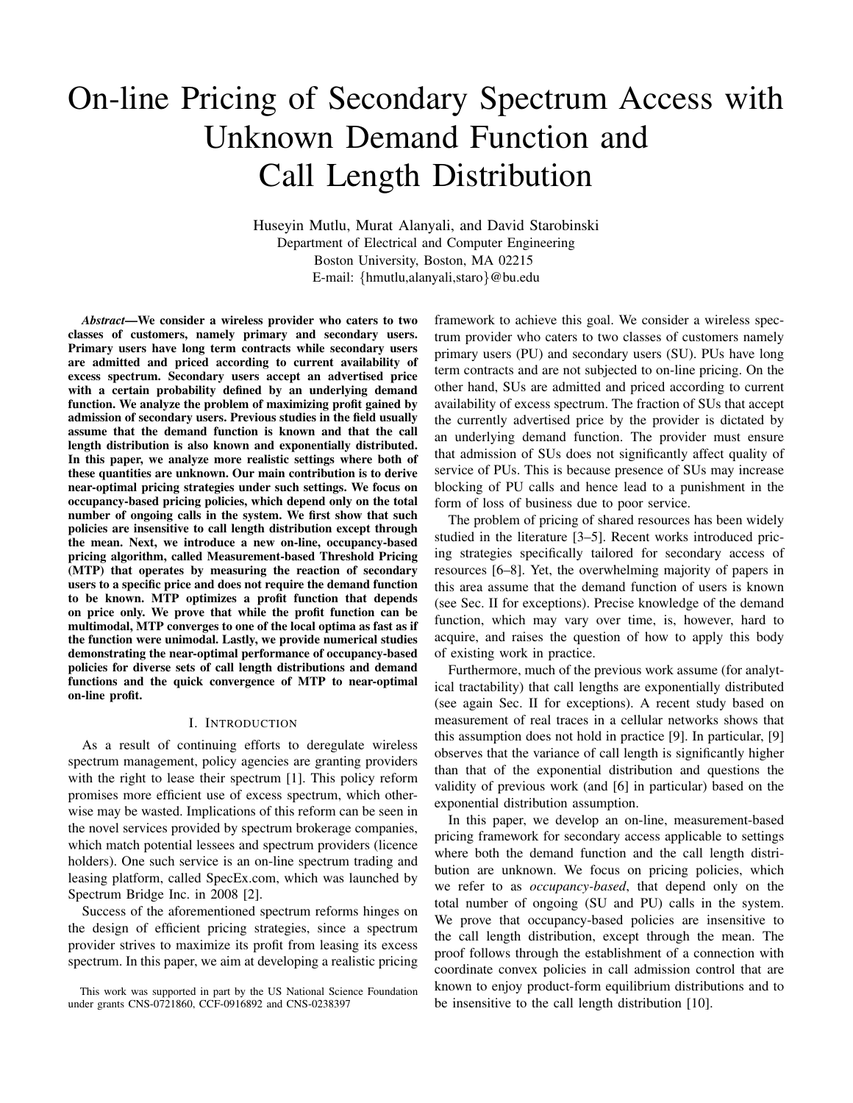# On-line Pricing of Secondary Spectrum Access with Unknown Demand Function and Call Length Distribution

Huseyin Mutlu, Murat Alanyali, and David Starobinski Department of Electrical and Computer Engineering Boston University, Boston, MA 02215 E-mail: {hmutlu,alanyali,staro}@bu.edu

*Abstract*—We consider a wireless provider who caters to two classes of customers, namely primary and secondary users. Primary users have long term contracts while secondary users are admitted and priced according to current availability of excess spectrum. Secondary users accept an advertised price with a certain probability defined by an underlying demand function. We analyze the problem of maximizing profit gained by admission of secondary users. Previous studies in the field usually assume that the demand function is known and that the call length distribution is also known and exponentially distributed. In this paper, we analyze more realistic settings where both of these quantities are unknown. Our main contribution is to derive near-optimal pricing strategies under such settings. We focus on occupancy-based pricing policies, which depend only on the total number of ongoing calls in the system. We first show that such policies are insensitive to call length distribution except through the mean. Next, we introduce a new on-line, occupancy-based pricing algorithm, called Measurement-based Threshold Pricing (MTP) that operates by measuring the reaction of secondary users to a specific price and does not require the demand function to be known. MTP optimizes a profit function that depends on price only. We prove that while the profit function can be multimodal, MTP converges to one of the local optima as fast as if the function were unimodal. Lastly, we provide numerical studies demonstrating the near-optimal performance of occupancy-based policies for diverse sets of call length distributions and demand functions and the quick convergence of MTP to near-optimal on-line profit.

## I. INTRODUCTION

As a result of continuing efforts to deregulate wireless spectrum management, policy agencies are granting providers with the right to lease their spectrum [1]. This policy reform promises more efficient use of excess spectrum, which otherwise may be wasted. Implications of this reform can be seen in the novel services provided by spectrum brokerage companies, which match potential lessees and spectrum providers (licence holders). One such service is an on-line spectrum trading and leasing platform, called SpecEx.com, which was launched by Spectrum Bridge Inc. in 2008 [2].

Success of the aforementioned spectrum reforms hinges on the design of efficient pricing strategies, since a spectrum provider strives to maximize its profit from leasing its excess spectrum. In this paper, we aim at developing a realistic pricing framework to achieve this goal. We consider a wireless spectrum provider who caters to two classes of customers namely primary users (PU) and secondary users (SU). PUs have long term contracts and are not subjected to on-line pricing. On the other hand, SUs are admitted and priced according to current availability of excess spectrum. The fraction of SUs that accept the currently advertised price by the provider is dictated by an underlying demand function. The provider must ensure that admission of SUs does not significantly affect quality of service of PUs. This is because presence of SUs may increase blocking of PU calls and hence lead to a punishment in the form of loss of business due to poor service.

The problem of pricing of shared resources has been widely studied in the literature [3–5]. Recent works introduced pricing strategies specifically tailored for secondary access of resources [6–8]. Yet, the overwhelming majority of papers in this area assume that the demand function of users is known (see Sec. II for exceptions). Precise knowledge of the demand function, which may vary over time, is, however, hard to acquire, and raises the question of how to apply this body of existing work in practice.

Furthermore, much of the previous work assume (for analytical tractability) that call lengths are exponentially distributed (see again Sec. II for exceptions). A recent study based on measurement of real traces in a cellular networks shows that this assumption does not hold in practice [9]. In particular, [9] observes that the variance of call length is significantly higher than that of the exponential distribution and questions the validity of previous work (and [6] in particular) based on the exponential distribution assumption.

In this paper, we develop an on-line, measurement-based pricing framework for secondary access applicable to settings where both the demand function and the call length distribution are unknown. We focus on pricing policies, which we refer to as *occupancy-based*, that depend only on the total number of ongoing (SU and PU) calls in the system. We prove that occupancy-based policies are insensitive to the call length distribution, except through the mean. The proof follows through the establishment of a connection with coordinate convex policies in call admission control that are known to enjoy product-form equilibrium distributions and to be insensitive to the call length distribution [10].

This work was supported in part by the US National Science Foundation under grants CNS-0721860, CCF-0916892 and CNS-0238397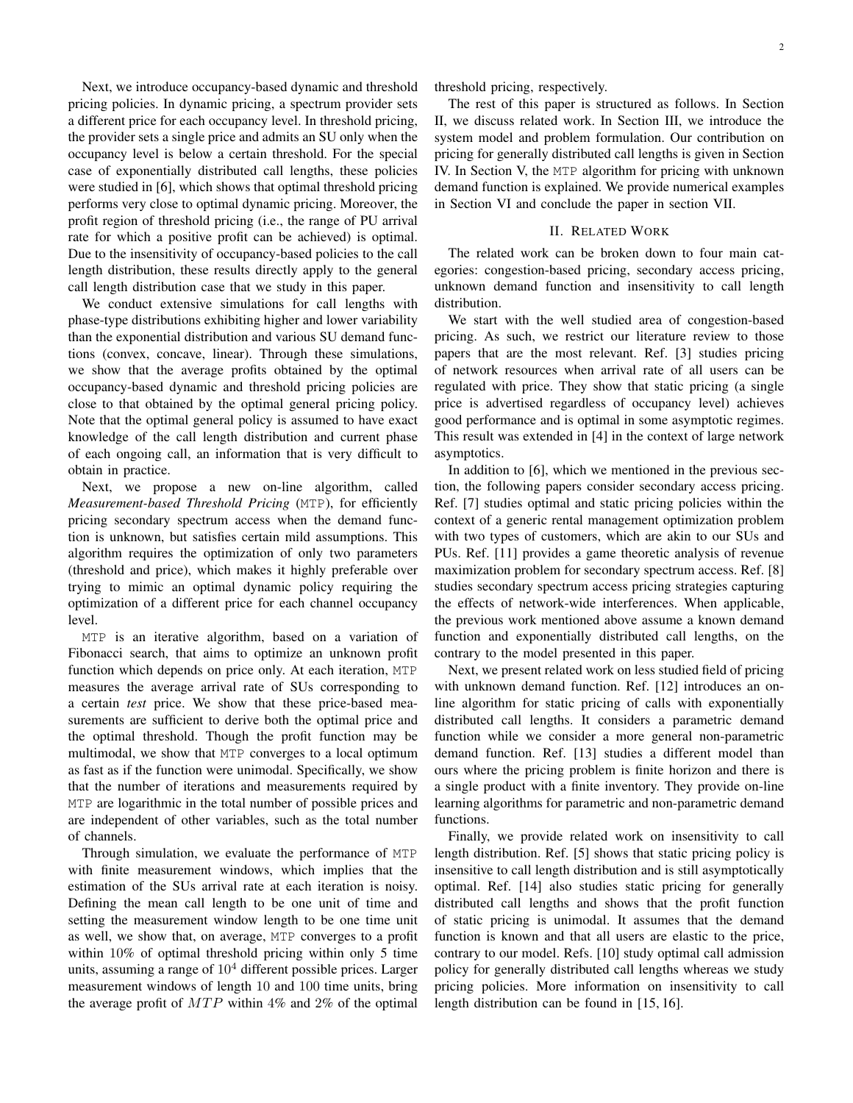Next, we introduce occupancy-based dynamic and threshold pricing policies. In dynamic pricing, a spectrum provider sets a different price for each occupancy level. In threshold pricing, the provider sets a single price and admits an SU only when the occupancy level is below a certain threshold. For the special case of exponentially distributed call lengths, these policies were studied in [6], which shows that optimal threshold pricing performs very close to optimal dynamic pricing. Moreover, the profit region of threshold pricing (i.e., the range of PU arrival rate for which a positive profit can be achieved) is optimal. Due to the insensitivity of occupancy-based policies to the call length distribution, these results directly apply to the general call length distribution case that we study in this paper.

We conduct extensive simulations for call lengths with phase-type distributions exhibiting higher and lower variability than the exponential distribution and various SU demand functions (convex, concave, linear). Through these simulations, we show that the average profits obtained by the optimal occupancy-based dynamic and threshold pricing policies are close to that obtained by the optimal general pricing policy. Note that the optimal general policy is assumed to have exact knowledge of the call length distribution and current phase of each ongoing call, an information that is very difficult to obtain in practice.

Next, we propose a new on-line algorithm, called *Measurement-based Threshold Pricing* (MTP), for efficiently pricing secondary spectrum access when the demand function is unknown, but satisfies certain mild assumptions. This algorithm requires the optimization of only two parameters (threshold and price), which makes it highly preferable over trying to mimic an optimal dynamic policy requiring the optimization of a different price for each channel occupancy level.

MTP is an iterative algorithm, based on a variation of Fibonacci search, that aims to optimize an unknown profit function which depends on price only. At each iteration, MTP measures the average arrival rate of SUs corresponding to a certain *test* price. We show that these price-based measurements are sufficient to derive both the optimal price and the optimal threshold. Though the profit function may be multimodal, we show that MTP converges to a local optimum as fast as if the function were unimodal. Specifically, we show that the number of iterations and measurements required by MTP are logarithmic in the total number of possible prices and are independent of other variables, such as the total number of channels.

Through simulation, we evaluate the performance of MTP with finite measurement windows, which implies that the estimation of the SUs arrival rate at each iteration is noisy. Defining the mean call length to be one unit of time and setting the measurement window length to be one time unit as well, we show that, on average, MTP converges to a profit within 10% of optimal threshold pricing within only 5 time units, assuming a range of  $10<sup>4</sup>$  different possible prices. Larger measurement windows of length 10 and 100 time units, bring the average profit of  $MTP$  within 4% and 2% of the optimal threshold pricing, respectively.

The rest of this paper is structured as follows. In Section II, we discuss related work. In Section III, we introduce the system model and problem formulation. Our contribution on pricing for generally distributed call lengths is given in Section IV. In Section V, the MTP algorithm for pricing with unknown demand function is explained. We provide numerical examples in Section VI and conclude the paper in section VII.

#### II. RELATED WORK

The related work can be broken down to four main categories: congestion-based pricing, secondary access pricing, unknown demand function and insensitivity to call length distribution.

We start with the well studied area of congestion-based pricing. As such, we restrict our literature review to those papers that are the most relevant. Ref. [3] studies pricing of network resources when arrival rate of all users can be regulated with price. They show that static pricing (a single price is advertised regardless of occupancy level) achieves good performance and is optimal in some asymptotic regimes. This result was extended in [4] in the context of large network asymptotics.

In addition to [6], which we mentioned in the previous section, the following papers consider secondary access pricing. Ref. [7] studies optimal and static pricing policies within the context of a generic rental management optimization problem with two types of customers, which are akin to our SUs and PUs. Ref. [11] provides a game theoretic analysis of revenue maximization problem for secondary spectrum access. Ref. [8] studies secondary spectrum access pricing strategies capturing the effects of network-wide interferences. When applicable, the previous work mentioned above assume a known demand function and exponentially distributed call lengths, on the contrary to the model presented in this paper.

Next, we present related work on less studied field of pricing with unknown demand function. Ref. [12] introduces an online algorithm for static pricing of calls with exponentially distributed call lengths. It considers a parametric demand function while we consider a more general non-parametric demand function. Ref. [13] studies a different model than ours where the pricing problem is finite horizon and there is a single product with a finite inventory. They provide on-line learning algorithms for parametric and non-parametric demand functions.

Finally, we provide related work on insensitivity to call length distribution. Ref. [5] shows that static pricing policy is insensitive to call length distribution and is still asymptotically optimal. Ref. [14] also studies static pricing for generally distributed call lengths and shows that the profit function of static pricing is unimodal. It assumes that the demand function is known and that all users are elastic to the price, contrary to our model. Refs. [10] study optimal call admission policy for generally distributed call lengths whereas we study pricing policies. More information on insensitivity to call length distribution can be found in [15, 16].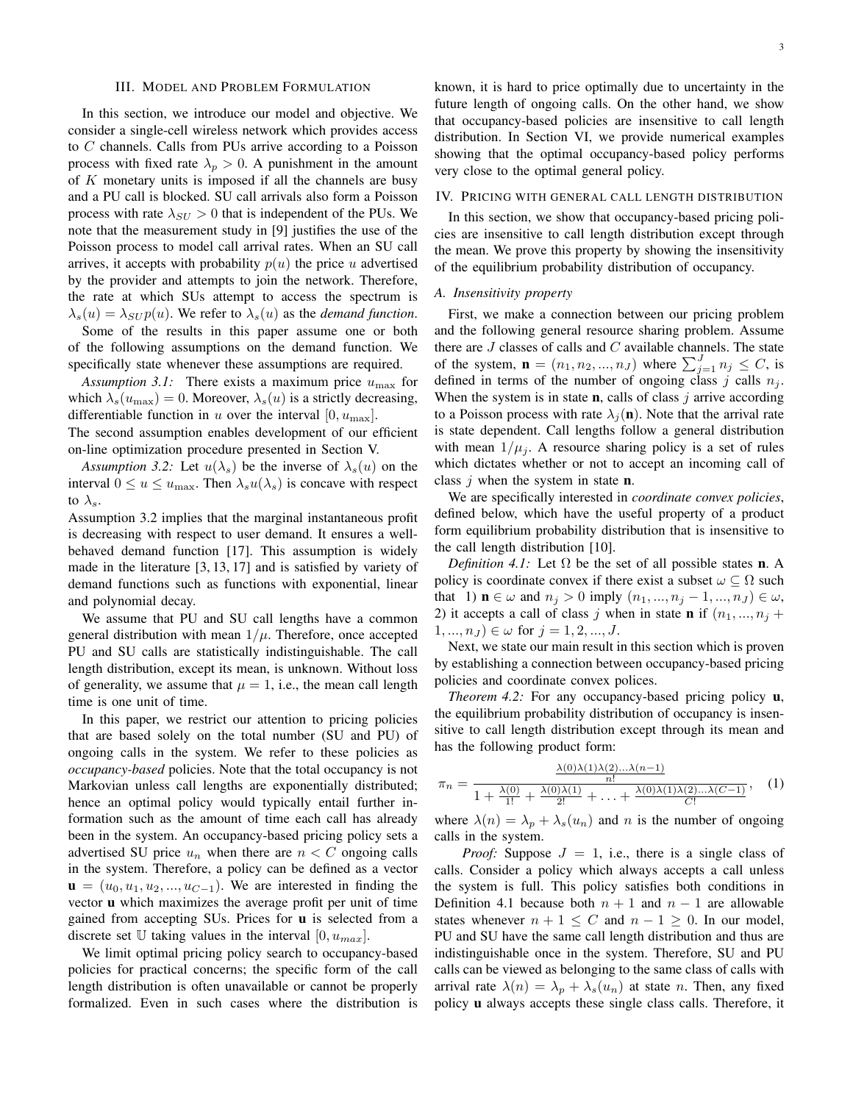#### III. MODEL AND PROBLEM FORMULATION

In this section, we introduce our model and objective. We consider a single-cell wireless network which provides access to C channels. Calls from PUs arrive according to a Poisson process with fixed rate  $\lambda_p > 0$ . A punishment in the amount of  $K$  monetary units is imposed if all the channels are busy and a PU call is blocked. SU call arrivals also form a Poisson process with rate  $\lambda_{SU} > 0$  that is independent of the PUs. We note that the measurement study in [9] justifies the use of the Poisson process to model call arrival rates. When an SU call arrives, it accepts with probability  $p(u)$  the price u advertised by the provider and attempts to join the network. Therefore, the rate at which SUs attempt to access the spectrum is  $\lambda_s(u) = \lambda_{SUP}(u)$ . We refer to  $\lambda_s(u)$  as the *demand function*.

Some of the results in this paper assume one or both of the following assumptions on the demand function. We specifically state whenever these assumptions are required.

*Assumption 3.1:* There exists a maximum price  $u_{\text{max}}$  for which  $\lambda_s(u_{\text{max}}) = 0$ . Moreover,  $\lambda_s(u)$  is a strictly decreasing, differentiable function in u over the interval  $[0, u_{\text{max}}]$ .

The second assumption enables development of our efficient on-line optimization procedure presented in Section V.

*Assumption 3.2:* Let  $u(\lambda_s)$  be the inverse of  $\lambda_s(u)$  on the interval  $0 \le u \le u_{\text{max}}$ . Then  $\lambda_s u(\lambda_s)$  is concave with respect to  $\lambda_s$ .

Assumption 3.2 implies that the marginal instantaneous profit is decreasing with respect to user demand. It ensures a wellbehaved demand function [17]. This assumption is widely made in the literature [3, 13, 17] and is satisfied by variety of demand functions such as functions with exponential, linear and polynomial decay.

We assume that PU and SU call lengths have a common general distribution with mean  $1/\mu$ . Therefore, once accepted PU and SU calls are statistically indistinguishable. The call length distribution, except its mean, is unknown. Without loss of generality, we assume that  $\mu = 1$ , i.e., the mean call length time is one unit of time.

In this paper, we restrict our attention to pricing policies that are based solely on the total number (SU and PU) of ongoing calls in the system. We refer to these policies as *occupancy-based* policies. Note that the total occupancy is not Markovian unless call lengths are exponentially distributed; hence an optimal policy would typically entail further information such as the amount of time each call has already been in the system. An occupancy-based pricing policy sets a advertised SU price  $u_n$  when there are  $n < C$  ongoing calls in the system. Therefore, a policy can be defined as a vector  $\mathbf{u} = (u_0, u_1, u_2, \dots, u_{C-1})$ . We are interested in finding the vector u which maximizes the average profit per unit of time gained from accepting SUs. Prices for u is selected from a discrete set U taking values in the interval  $[0, u_{max}]$ .

We limit optimal pricing policy search to occupancy-based policies for practical concerns; the specific form of the call length distribution is often unavailable or cannot be properly formalized. Even in such cases where the distribution is known, it is hard to price optimally due to uncertainty in the future length of ongoing calls. On the other hand, we show that occupancy-based policies are insensitive to call length distribution. In Section VI, we provide numerical examples showing that the optimal occupancy-based policy performs very close to the optimal general policy.

#### IV. PRICING WITH GENERAL CALL LENGTH DISTRIBUTION

In this section, we show that occupancy-based pricing policies are insensitive to call length distribution except through the mean. We prove this property by showing the insensitivity of the equilibrium probability distribution of occupancy.

#### *A. Insensitivity property*

First, we make a connection between our pricing problem and the following general resource sharing problem. Assume there are  $J$  classes of calls and  $C$  available channels. The state there are *J* classes of cans and *C* available channels. The state<br>of the system,  $\mathbf{n} = (n_1, n_2, ..., n_J)$  where  $\sum_{j=1}^{J} n_j \leq C$ , is defined in terms of the number of ongoing class j calls  $n<sub>j</sub>$ . When the system is in state  $n$ , calls of class  $j$  arrive according to a Poisson process with rate  $\lambda_i(\mathbf{n})$ . Note that the arrival rate is state dependent. Call lengths follow a general distribution with mean  $1/\mu_i$ . A resource sharing policy is a set of rules which dictates whether or not to accept an incoming call of class  $j$  when the system in state **n**.

We are specifically interested in *coordinate convex policies*, defined below, which have the useful property of a product form equilibrium probability distribution that is insensitive to the call length distribution [10].

*Definition 4.1:* Let  $\Omega$  be the set of all possible states **n**. A policy is coordinate convex if there exist a subset  $\omega \subseteq \Omega$  such that 1)  $\mathbf{n} \in \omega$  and  $n_j > 0$  imply  $(n_1, ..., n_j - 1, ..., n_J) \in \omega$ , 2) it accepts a call of class j when in state **n** if  $(n_1, ..., n_j + \epsilon)$  $1, ..., n_J$   $\in \omega$  for  $j = 1, 2, ..., J$ .

Next, we state our main result in this section which is proven by establishing a connection between occupancy-based pricing policies and coordinate convex polices.

*Theorem 4.2:* For any occupancy-based pricing policy **u**, the equilibrium probability distribution of occupancy is insensitive to call length distribution except through its mean and has the following product form:

$$
\pi_n = \frac{\frac{\lambda(0)\lambda(1)\lambda(2)\dots\lambda(n-1)}{n!}}{1 + \frac{\lambda(0)}{1!} + \frac{\lambda(0)\lambda(1)}{2!} + \dots + \frac{\lambda(0)\lambda(1)\lambda(2)\dots\lambda(C-1)}{C!}},\quad(1)
$$

where  $\lambda(n) = \lambda_p + \lambda_s(u_n)$  and n is the number of ongoing calls in the system.

*Proof:* Suppose  $J = 1$ , i.e., there is a single class of calls. Consider a policy which always accepts a call unless the system is full. This policy satisfies both conditions in Definition 4.1 because both  $n + 1$  and  $n - 1$  are allowable states whenever  $n + 1 \leq C$  and  $n - 1 \geq 0$ . In our model, PU and SU have the same call length distribution and thus are indistinguishable once in the system. Therefore, SU and PU calls can be viewed as belonging to the same class of calls with arrival rate  $\lambda(n) = \lambda_p + \lambda_s(u_n)$  at state *n*. Then, any fixed policy u always accepts these single class calls. Therefore, it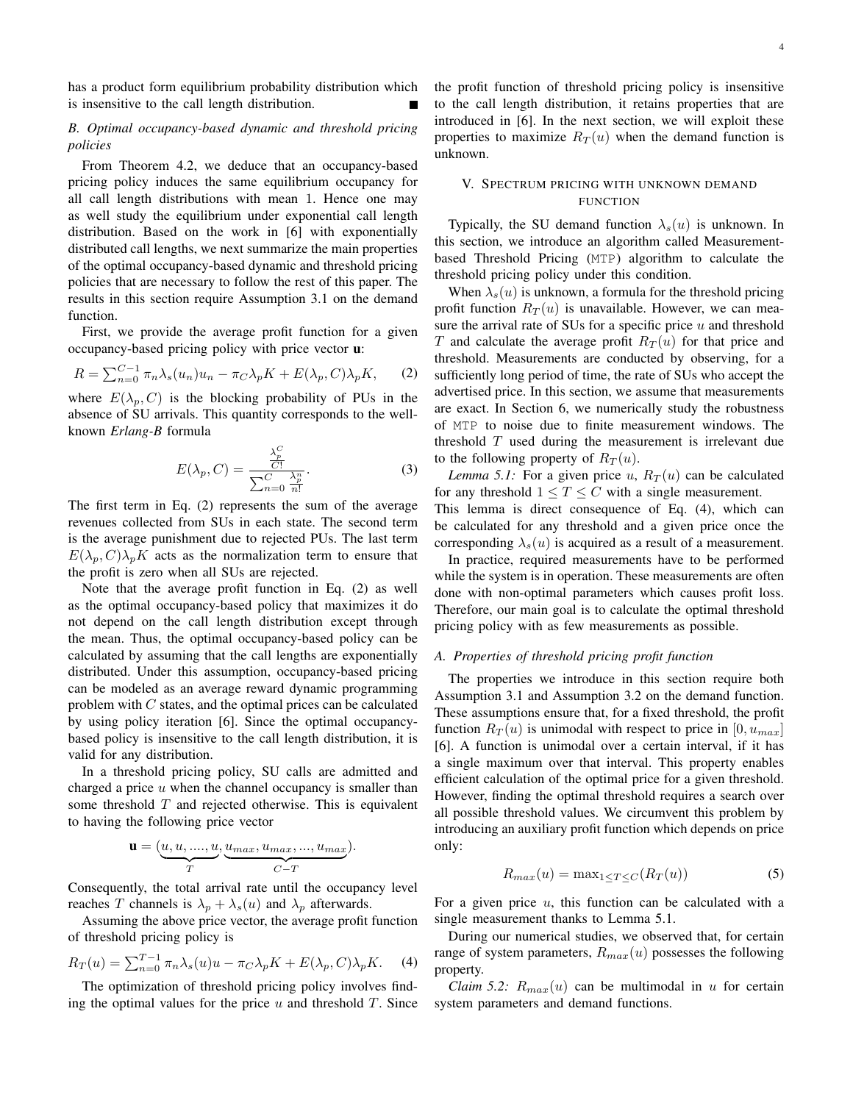has a product form equilibrium probability distribution which is insensitive to the call length distribution.

## *B. Optimal occupancy-based dynamic and threshold pricing policies*

From Theorem 4.2, we deduce that an occupancy-based pricing policy induces the same equilibrium occupancy for all call length distributions with mean 1. Hence one may as well study the equilibrium under exponential call length distribution. Based on the work in [6] with exponentially distributed call lengths, we next summarize the main properties of the optimal occupancy-based dynamic and threshold pricing policies that are necessary to follow the rest of this paper. The results in this section require Assumption 3.1 on the demand function.

First, we provide the average profit function for a given occupancy-based pricing policy with price vector u:

$$
R = \sum_{n=0}^{C-1} \pi_n \lambda_s(u_n) u_n - \pi_C \lambda_p K + E(\lambda_p, C) \lambda_p K,
$$
 (2)

where  $E(\lambda_p, C)$  is the blocking probability of PUs in the absence of SU arrivals. This quantity corresponds to the wellknown *Erlang-B* formula

$$
E(\lambda_p, C) = \frac{\frac{\lambda_p^C}{C!}}{\sum_{n=0}^C \frac{\lambda_p^n}{n!}}.
$$
 (3)

The first term in Eq. (2) represents the sum of the average revenues collected from SUs in each state. The second term is the average punishment due to rejected PUs. The last term  $E(\lambda_p, C) \lambda_p K$  acts as the normalization term to ensure that the profit is zero when all SUs are rejected.

Note that the average profit function in Eq. (2) as well as the optimal occupancy-based policy that maximizes it do not depend on the call length distribution except through the mean. Thus, the optimal occupancy-based policy can be calculated by assuming that the call lengths are exponentially distributed. Under this assumption, occupancy-based pricing can be modeled as an average reward dynamic programming problem with  $C$  states, and the optimal prices can be calculated by using policy iteration [6]. Since the optimal occupancybased policy is insensitive to the call length distribution, it is valid for any distribution.

In a threshold pricing policy, SU calls are admitted and charged a price  $u$  when the channel occupancy is smaller than some threshold  $T$  and rejected otherwise. This is equivalent to having the following price vector

$$
\mathbf{u} = (\underbrace{u, u, \dots, u}_{T}, \underbrace{u_{max}, u_{max}, \dots, u_{max}}_{C-T}).
$$

Consequently, the total arrival rate until the occupancy level reaches T channels is  $\lambda_p + \lambda_s(u)$  and  $\lambda_p$  afterwards.

Assuming the above price vector, the average profit function of threshold pricing policy is

$$
R_T(u) = \sum_{n=0}^{T-1} \pi_n \lambda_s(u)u - \pi_C \lambda_p K + E(\lambda_p, C)\lambda_p K.
$$
 (4)

The optimization of threshold pricing policy involves finding the optimal values for the price  $u$  and threshold  $T$ . Since the profit function of threshold pricing policy is insensitive to the call length distribution, it retains properties that are introduced in [6]. In the next section, we will exploit these properties to maximize  $R_T(u)$  when the demand function is unknown.

## V. SPECTRUM PRICING WITH UNKNOWN DEMAND FUNCTION

Typically, the SU demand function  $\lambda_s(u)$  is unknown. In this section, we introduce an algorithm called Measurementbased Threshold Pricing (MTP) algorithm to calculate the threshold pricing policy under this condition.

When  $\lambda_s(u)$  is unknown, a formula for the threshold pricing profit function  $R_T(u)$  is unavailable. However, we can measure the arrival rate of SUs for a specific price  $u$  and threshold T and calculate the average profit  $R_T(u)$  for that price and threshold. Measurements are conducted by observing, for a sufficiently long period of time, the rate of SUs who accept the advertised price. In this section, we assume that measurements are exact. In Section 6, we numerically study the robustness of MTP to noise due to finite measurement windows. The threshold  $T$  used during the measurement is irrelevant due to the following property of  $R_T(u)$ .

*Lemma 5.1:* For a given price u,  $R_T(u)$  can be calculated for any threshold  $1 \le T \le C$  with a single measurement. This lemma is direct consequence of Eq. (4), which can

be calculated for any threshold and a given price once the corresponding  $\lambda_s(u)$  is acquired as a result of a measurement.

In practice, required measurements have to be performed while the system is in operation. These measurements are often done with non-optimal parameters which causes profit loss. Therefore, our main goal is to calculate the optimal threshold pricing policy with as few measurements as possible.

#### *A. Properties of threshold pricing profit function*

The properties we introduce in this section require both Assumption 3.1 and Assumption 3.2 on the demand function. These assumptions ensure that, for a fixed threshold, the profit function  $R_T(u)$  is unimodal with respect to price in [0,  $u_{max}$ ] [6]. A function is unimodal over a certain interval, if it has a single maximum over that interval. This property enables efficient calculation of the optimal price for a given threshold. However, finding the optimal threshold requires a search over all possible threshold values. We circumvent this problem by introducing an auxiliary profit function which depends on price only:

$$
R_{max}(u) = \max_{1 \le T \le C} (R_T(u))
$$
\n<sup>(5)</sup>

For a given price  $u$ , this function can be calculated with a single measurement thanks to Lemma 5.1.

During our numerical studies, we observed that, for certain range of system parameters,  $R_{max}(u)$  possesses the following property.

*Claim 5.2:*  $R_{max}(u)$  can be multimodal in u for certain system parameters and demand functions.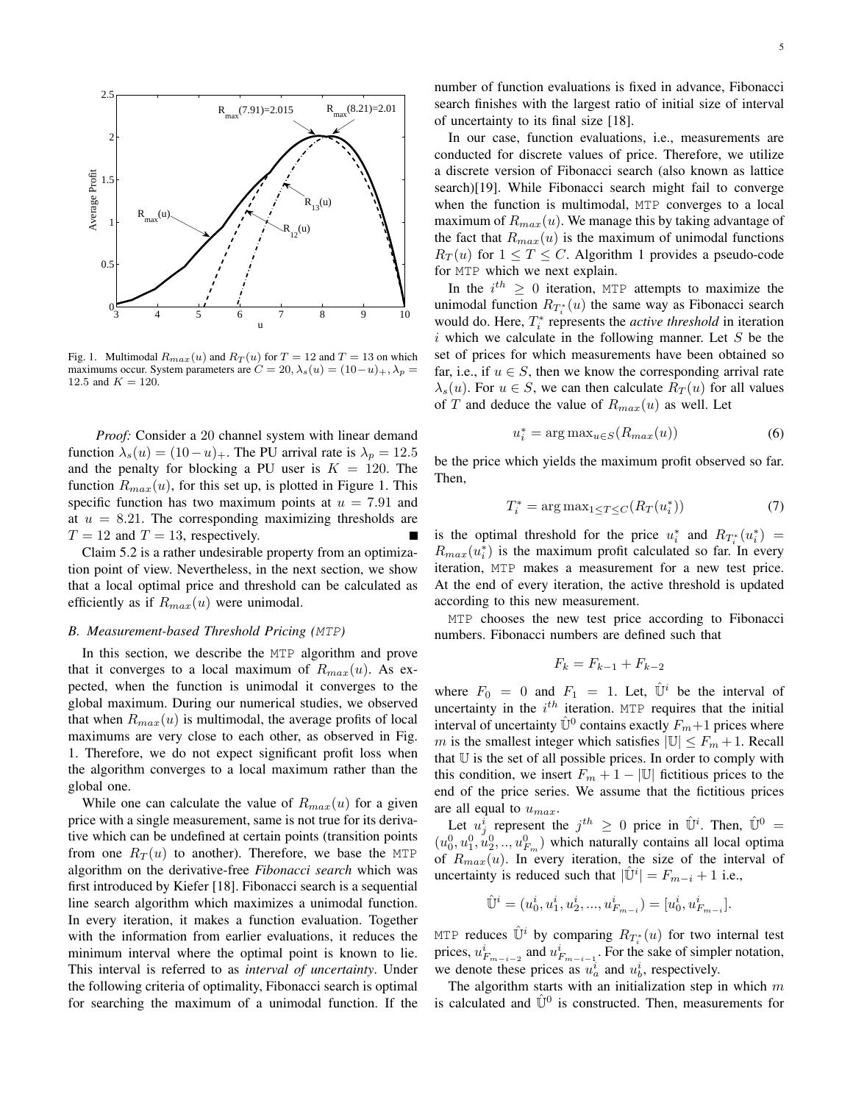

Fig. 1. Multimodal  $R_{max}(u)$  and  $R_T(u)$  for  $T=12$  and  $T=13$  on which maximums occur. System parameters are  $C = 20$ ,  $\lambda_s(u) = (10-u)_+, \lambda_p =$ 12.5 and  $K = 120$ .

*Proof:* Consider a 20 channel system with linear demand function  $\lambda_s(u) = (10 - u)_+$ . The PU arrival rate is  $\lambda_p = 12.5$ and the penalty for blocking a PU user is  $K = 120$ . The function  $R_{max}(u)$ , for this set up, is plotted in Figure 1. This specific function has two maximum points at  $u = 7.91$  and at  $u = 8.21$ . The corresponding maximizing thresholds are  $T = 12$  and  $T = 13$ , respectively.

Claim 5.2 is a rather undesirable property from an optimization point of view. Nevertheless, in the next section, we show that a local optimal price and threshold can be calculated as efficiently as if  $R_{max}(u)$  were unimodal.

#### *B. Measurement-based Threshold Pricing (*MTP*)*

In this section, we describe the MTP algorithm and prove that it converges to a local maximum of  $R_{max}(u)$ . As expected, when the function is unimodal it converges to the global maximum. During our numerical studies, we observed that when  $R_{max}(u)$  is multimodal, the average profits of local maximums are very close to each other, as observed in Fig. 1. Therefore, we do not expect significant profit loss when the algorithm converges to a local maximum rather than the global one.

While one can calculate the value of  $R_{max}(u)$  for a given price with a single measurement, same is not true for its derivative which can be undefined at certain points (transition points from one  $R_T(u)$  to another). Therefore, we base the MTP algorithm on the derivative-free *Fibonacci search* which was first introduced by Kiefer [18]. Fibonacci search is a sequential line search algorithm which maximizes a unimodal function. In every iteration, it makes a function evaluation. Together with the information from earlier evaluations, it reduces the minimum interval where the optimal point is known to lie. This interval is referred to as *interval of uncertainty*. Under the following criteria of optimality, Fibonacci search is optimal for searching the maximum of a unimodal function. If the number of function evaluations is fixed in advance, Fibonacci search finishes with the largest ratio of initial size of interval of uncertainty to its final size [18].

In our case, function evaluations, i.e., measurements are conducted for discrete values of price. Therefore, we utilize a discrete version of Fibonacci search (also known as lattice search)[19]. While Fibonacci search might fail to converge when the function is multimodal, MTP converges to a local maximum of  $R_{max}(u)$ . We manage this by taking advantage of the fact that  $R_{max}(u)$  is the maximum of unimodal functions  $R_T(u)$  for  $1 \leq T \leq C$ . Algorithm 1 provides a pseudo-code for MTP which we next explain.

In the  $i^{th} \geq 0$  iteration, MTP attempts to maximize the unimodal function  $R_{T_i^*}(u)$  the same way as Fibonacci search would do. Here,  $T_i^*$  represents the *active threshold* in iteration  $i$  which we calculate in the following manner. Let  $S$  be the set of prices for which measurements have been obtained so far, i.e., if  $u \in S$ , then we know the corresponding arrival rate  $\lambda_s(u)$ . For  $u \in S$ , we can then calculate  $R_T(u)$  for all values of T and deduce the value of  $R_{max}(u)$  as well. Let

$$
u_i^* = \arg \max_{u \in S} (R_{max}(u))
$$
 (6)

be the price which yields the maximum profit observed so far. Then,

$$
T_i^* = \arg \max_{1 \le T \le C} (R_T(u_i^*)) \tag{7}
$$

is the optimal threshold for the price  $u_i^*$  and  $R_{T_i^*}(u_i^*) =$  $R_{max}(u_i^*)$  is the maximum profit calculated so far. In every iteration, MTP makes a measurement for a new test price. At the end of every iteration, the active threshold is updated according to this new measurement.

MTP chooses the new test price according to Fibonacci numbers. Fibonacci numbers are defined such that

$$
F_k = F_{k-1} + F_{k-2}
$$

where  $F_0 = 0$  and  $F_1 = 1$ . Let,  $\hat{U}^i$  be the interval of uncertainty in the  $i^{th}$  iteration. MTP requires that the initial interval of uncertainty  $\hat{U}^0$  contains exactly  $F_m+1$  prices where m is the smallest integer which satisfies  $|\mathbb{U}| \le F_m + 1$ . Recall that U is the set of all possible prices. In order to comply with this condition, we insert  $F_m + 1 - |\mathbb{U}|$  fictitious prices to the end of the price series. We assume that the fictitious prices are all equal to  $u_{max}$ .

Let  $u_j^{\hat{i}}$  represent the  $j^{th} \geq 0$  price in  $\hat{U}^i$ . Then,  $\hat{U}^0 =$  $(u_0^0, u_1^0, u_2^0, \ldots, u_{F_m}^0)$  which naturally contains all local optima of  $R_{max}(u)$ . In every iteration, the size of the interval of uncertainty is reduced such that  $|\hat{U}^i| = F_{m-i} + 1$  i.e.,

$$
\hat{\mathbb{U}}^i=(u^i_0,u^i_1,u^i_2,...,u^i_{F_{m-i}})=[u^i_0,u^i_{F_{m-i}}].
$$

MTP reduces  $\hat{\mathbb{U}}^i$  by comparing  $R_{T_i^*}(u)$  for two internal test prices,  $u_{F_{m-i-2}}^i$  and  $u_{F_{m-i-1}}^i$ . For the sake of simpler notation, we denote these prices as  $u_a^i$  and  $u_b^i$ , respectively.

The algorithm starts with an initialization step in which  $m$ is calculated and  $\hat{U}^0$  is constructed. Then, measurements for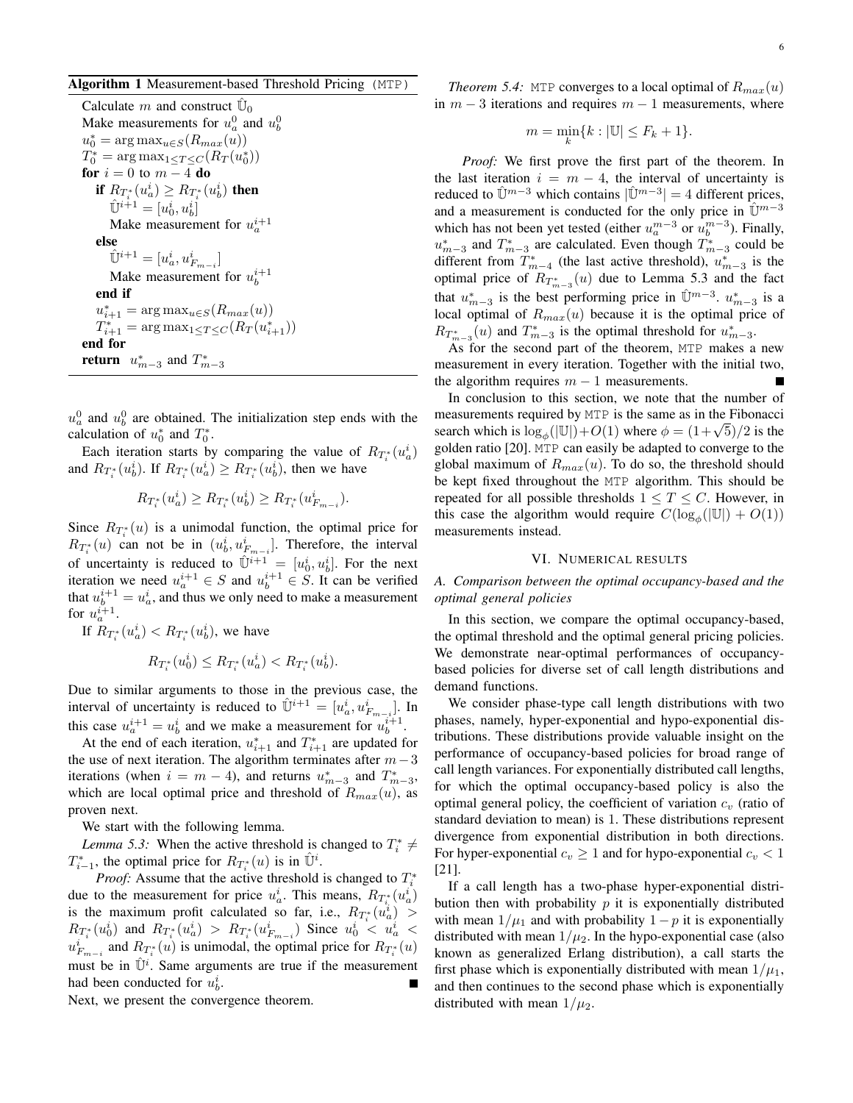### Algorithm 1 Measurement-based Threshold Pricing (MTP)

Calculate m and construct  $\hat{U}_0$ Make measurements for  $u_a^0$  and  $u_b^0$  $u_0^* = \arg \max_{u \in S} (R_{max}(u))$  $T_0^* = \arg \max_{1 \le T \le C} (R_T(u_0^*))$ for  $i = 0$  to  $m - 4$  do if  $R_{T_i^*}(u_a^i) \geq R_{T_i^*}(u_b^i)$  then  $\hat{\mathbb{U}}^{i+1} = [u_0^i, u_b^i]$ Make measurement for  $u_a^{i+1}$ else  $\hat{\mathbb{U}}^{i+1} = [u_a^i,u_{F_{m-i}}^i]$ Make measurement for  $u_b^{i+1}$ end if  $u_{i+1}^* = \arg \max_{u \in S} (R_{max}(u))$  $T_{i+1}^* = \arg \max_{1 \le T \le C} (R_T(u_{i+1}^*))$ end for return  $u_{m-3}^*$  and  $T_{m-3}^*$ 

 $u_a^0$  and  $u_b^0$  are obtained. The initialization step ends with the calculation of  $u_0^*$  and  $T_0^*$ .

Each iteration starts by comparing the value of  $R_{T_i^*}(u_a^i)$ and  $R_{T_i^*}(u_b^i)$ . If  $R_{T_i^*}(u_a^i) \ge R_{T_i^*}(u_b^i)$ , then we have

$$
R_{T_i^*}(u_a^i) \ge R_{T_i^*}(u_b^i) \ge R_{T_i^*}(u_{F_{m-i}}^i).
$$

Since  $R_{T_i^*}(u)$  is a unimodal function, the optimal price for  $R_{T_i^*}(u)$  can not be in  $(u_b^i, u_{F_{m-i}}^i]$ . Therefore, the interval of uncertainty is reduced to  $\hat{U}^{i+1} = [u_0^i, u_b^i]$ . For the next iteration we need  $u_a^{i+1} \in S$  and  $u_b^{i+1} \in S$ . It can be verified that  $u_b^{i+1} = u_a^i$ , and thus we only need to make a measurement for  $u_a^{i+1}$ .

If  $R_{T_i^*}(u_a^i) < R_{T_i^*}(u_b^i)$ , we have

$$
R_{T_i^*}(u_0^i) \le R_{T_i^*}(u_a^i) < R_{T_i^*}(u_b^i).
$$

Due to similar arguments to those in the previous case, the interval of uncertainty is reduced to  $\hat{U}^{i+1} = [u_a^i, u_{F_{m-i}}^i]$ . In this case  $u_a^{i+1} = u_b^i$  and we make a measurement for  $u_b^{i+1}$ .

At the end of each iteration,  $u_{i+1}^*$  and  $T_{i+1}^*$  are updated for the use of next iteration. The algorithm terminates after  $m-3$ iterations (when  $i = m - 4$ ), and returns  $u_{m-3}^*$  and  $T_{m-3}^*$ , which are local optimal price and threshold of  $R_{max}(u)$ , as proven next.

We start with the following lemma.

*Lemma 5.3:* When the active threshold is changed to  $T_i^* \neq$  $T_{i-1}^*$ , the optimal price for  $R_{T_i^*}(u)$  is in  $\hat{\mathbb{U}}^i$ .

*Proof:* Assume that the active threshold is changed to  $T_i^*$ due to the measurement for price  $u_a^i$ . This means,  $R_{T_i^*}(u_a^i)$ is the maximum profit calculated so far, i.e.,  $R_{T_i^*}(\dot{u}_a^i)$  >  $R_{T_i^*}(u_0^i)$  and  $R_{T_i^*}(u_a^i) > R_{T_i^*}(u_{F_{m-i}}^i)$  Since  $u_0^i < u_a^i <$  $u_{F_{m-i}}^i$  and  $R_{T_i^*}(u)$  is unimodal, the optimal price for  $R_{T_i^*}(u)$ must be in  $\hat{\mathbb{U}}^i$ . Same arguments are true if the measurement had been conducted for  $u_b^i$ .

Next, we present the convergence theorem.

*Theorem 5.4:* MTP converges to a local optimal of  $R_{max}(u)$ in  $m-3$  iterations and requires  $m-1$  measurements, where

$$
m = \min_{k} \{k : |\mathbb{U}| \le F_k + 1\}.
$$

*Proof:* We first prove the first part of the theorem. In the last iteration  $i = m - 4$ , the interval of uncertainty is reduced to  $\hat{U}^{m-3}$  which contains  $|\hat{U}^{m-3}| = 4$  different prices, and a measurement is conducted for the only price in  $\hat{U}^{m-3}$ which has not been yet tested (either  $u_a^{m-3}$  or  $u_b^{m-3}$ ). Finally,  $u_{m-3}^*$  and  $T_{m-3}^*$  are calculated. Even though  $T_{m-3}^*$  could be different from  $T_{m-4}^*$  (the last active threshold),  $u_{m-3}^*$  is the optimal price of  $R_{T_{m-3}^*}(u)$  due to Lemma 5.3 and the fact that  $u_{m-3}^*$  is the best performing price in  $\hat{U}^{m-3}$ .  $u_{m-3}^*$  is a local optimal of  $R_{max}(u)$  because it is the optimal price of  $R_{T_{m-3}^*}(u)$  and  $T_{m-3}^*$  is the optimal threshold for  $u_{m-3}^*$ .

As for the second part of the theorem, MTP makes a new measurement in every iteration. Together with the initial two, the algorithm requires  $m - 1$  measurements.

In conclusion to this section, we note that the number of measurements required by MTP is the same as in the Fibonacci measurements required by MTP is the same as in the Fibonacci<br>search which is  $\log_{\phi}(|U|) + O(1)$  where  $\phi = (1 + \sqrt{5})/2$  is the golden ratio [20]. MTP can easily be adapted to converge to the global maximum of  $R_{max}(u)$ . To do so, the threshold should be kept fixed throughout the MTP algorithm. This should be repeated for all possible thresholds  $1 \le T \le C$ . However, in this case the algorithm would require  $C(\log_{\phi}(|\mathbb{U}|) + O(1))$ measurements instead.

## VI. NUMERICAL RESULTS

# *A. Comparison between the optimal occupancy-based and the optimal general policies*

In this section, we compare the optimal occupancy-based, the optimal threshold and the optimal general pricing policies. We demonstrate near-optimal performances of occupancybased policies for diverse set of call length distributions and demand functions.

We consider phase-type call length distributions with two phases, namely, hyper-exponential and hypo-exponential distributions. These distributions provide valuable insight on the performance of occupancy-based policies for broad range of call length variances. For exponentially distributed call lengths, for which the optimal occupancy-based policy is also the optimal general policy, the coefficient of variation  $c_v$  (ratio of standard deviation to mean) is 1. These distributions represent divergence from exponential distribution in both directions. For hyper-exponential  $c_v \geq 1$  and for hypo-exponential  $c_v < 1$ [21].

If a call length has a two-phase hyper-exponential distribution then with probability  $p$  it is exponentially distributed with mean  $1/\mu_1$  and with probability  $1 - p$  it is exponentially distributed with mean  $1/\mu_2$ . In the hypo-exponential case (also known as generalized Erlang distribution), a call starts the first phase which is exponentially distributed with mean  $1/\mu_1$ , and then continues to the second phase which is exponentially distributed with mean  $1/\mu_2$ .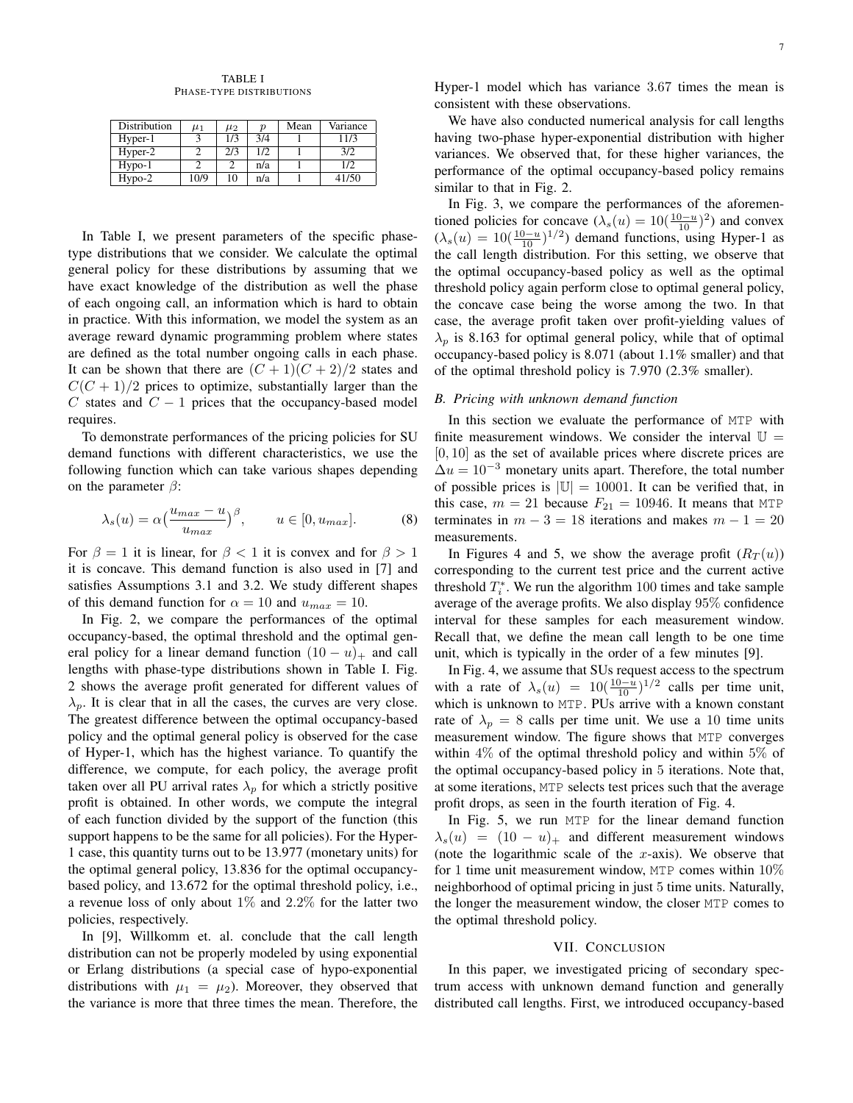TABLE I PHASE-TYPE DISTRIBUTIONS

| Distribution | $\mu_1$ | $\mu_2$ | $\boldsymbol{p}$ | Mean | Variance |
|--------------|---------|---------|------------------|------|----------|
| $Hyper-1$    |         | 1/3     | 3/4              |      | 11/3     |
| Hyper-2      |         | 2/3     | 1/2              |      | 3/2      |
| $Hypo-1$     |         |         | n/a              |      | 1/2      |
| $Hypo-2$     | 10/9    | 10      | n/a              |      | 41/50    |

In Table I, we present parameters of the specific phasetype distributions that we consider. We calculate the optimal general policy for these distributions by assuming that we have exact knowledge of the distribution as well the phase of each ongoing call, an information which is hard to obtain in practice. With this information, we model the system as an average reward dynamic programming problem where states are defined as the total number ongoing calls in each phase. It can be shown that there are  $(C+1)(C+2)/2$  states and  $C(C+1)/2$  prices to optimize, substantially larger than the C states and  $C - 1$  prices that the occupancy-based model requires.

To demonstrate performances of the pricing policies for SU demand functions with different characteristics, we use the following function which can take various shapes depending on the parameter  $\beta$ :

$$
\lambda_s(u) = \alpha \left(\frac{u_{max} - u}{u_{max}}\right)^{\beta}, \qquad u \in [0, u_{max}].
$$
 (8)

For  $\beta = 1$  it is linear, for  $\beta < 1$  it is convex and for  $\beta > 1$ it is concave. This demand function is also used in [7] and satisfies Assumptions 3.1 and 3.2. We study different shapes of this demand function for  $\alpha = 10$  and  $u_{max} = 10$ .

In Fig. 2, we compare the performances of the optimal occupancy-based, the optimal threshold and the optimal general policy for a linear demand function  $(10 - u)_{+}$  and call lengths with phase-type distributions shown in Table I. Fig. 2 shows the average profit generated for different values of  $\lambda_p$ . It is clear that in all the cases, the curves are very close. The greatest difference between the optimal occupancy-based policy and the optimal general policy is observed for the case of Hyper-1, which has the highest variance. To quantify the difference, we compute, for each policy, the average profit taken over all PU arrival rates  $\lambda_p$  for which a strictly positive profit is obtained. In other words, we compute the integral of each function divided by the support of the function (this support happens to be the same for all policies). For the Hyper-1 case, this quantity turns out to be 13.977 (monetary units) for the optimal general policy, 13.836 for the optimal occupancybased policy, and 13.672 for the optimal threshold policy, i.e., a revenue loss of only about  $1\%$  and  $2.2\%$  for the latter two policies, respectively.

In [9], Willkomm et. al. conclude that the call length distribution can not be properly modeled by using exponential or Erlang distributions (a special case of hypo-exponential distributions with  $\mu_1 = \mu_2$ ). Moreover, they observed that the variance is more that three times the mean. Therefore, the Hyper-1 model which has variance 3.67 times the mean is consistent with these observations.

We have also conducted numerical analysis for call lengths having two-phase hyper-exponential distribution with higher variances. We observed that, for these higher variances, the performance of the optimal occupancy-based policy remains similar to that in Fig. 2.

In Fig. 3, we compare the performances of the aforementioned policies for concave  $(\lambda_s(u)) = 10(\frac{10-u}{10})^2$  and convex  $(\lambda_s(u) = 10(\frac{10-u}{10})^{1/2})$  demand functions, using Hyper-1 as the call length distribution. For this setting, we observe that the optimal occupancy-based policy as well as the optimal threshold policy again perform close to optimal general policy, the concave case being the worse among the two. In that case, the average profit taken over profit-yielding values of  $\lambda_n$  is 8.163 for optimal general policy, while that of optimal occupancy-based policy is 8.071 (about 1.1% smaller) and that of the optimal threshold policy is 7.970 (2.3% smaller).

#### *B. Pricing with unknown demand function*

In this section we evaluate the performance of MTP with finite measurement windows. We consider the interval  $\mathbb{U} =$  $[0, 10]$  as the set of available prices where discrete prices are  $\Delta u = 10^{-3}$  monetary units apart. Therefore, the total number of possible prices is  $|\mathbb{U}| = 10001$ . It can be verified that, in this case,  $m = 21$  because  $F_{21} = 10946$ . It means that MTP terminates in  $m - 3 = 18$  iterations and makes  $m - 1 = 20$ measurements.

In Figures 4 and 5, we show the average profit  $(R_T(u))$ corresponding to the current test price and the current active threshold  $T_i^*$ . We run the algorithm 100 times and take sample average of the average profits. We also display 95% confidence interval for these samples for each measurement window. Recall that, we define the mean call length to be one time unit, which is typically in the order of a few minutes [9].

In Fig. 4, we assume that SUs request access to the spectrum with a rate of  $\lambda_s(u) = 10(\frac{10-u}{10})^{1/2}$  calls per time unit, which is unknown to MTP. PUs arrive with a known constant rate of  $\lambda_p = 8$  calls per time unit. We use a 10 time units measurement window. The figure shows that MTP converges within  $4\%$  of the optimal threshold policy and within  $5\%$  of the optimal occupancy-based policy in 5 iterations. Note that, at some iterations, MTP selects test prices such that the average profit drops, as seen in the fourth iteration of Fig. 4.

In Fig. 5, we run MTP for the linear demand function  $\lambda_s(u) = (10 - u)_+$  and different measurement windows (note the logarithmic scale of the  $x$ -axis). We observe that for 1 time unit measurement window, MTP comes within  $10\%$ neighborhood of optimal pricing in just 5 time units. Naturally, the longer the measurement window, the closer MTP comes to the optimal threshold policy.

#### VII. CONCLUSION

In this paper, we investigated pricing of secondary spectrum access with unknown demand function and generally distributed call lengths. First, we introduced occupancy-based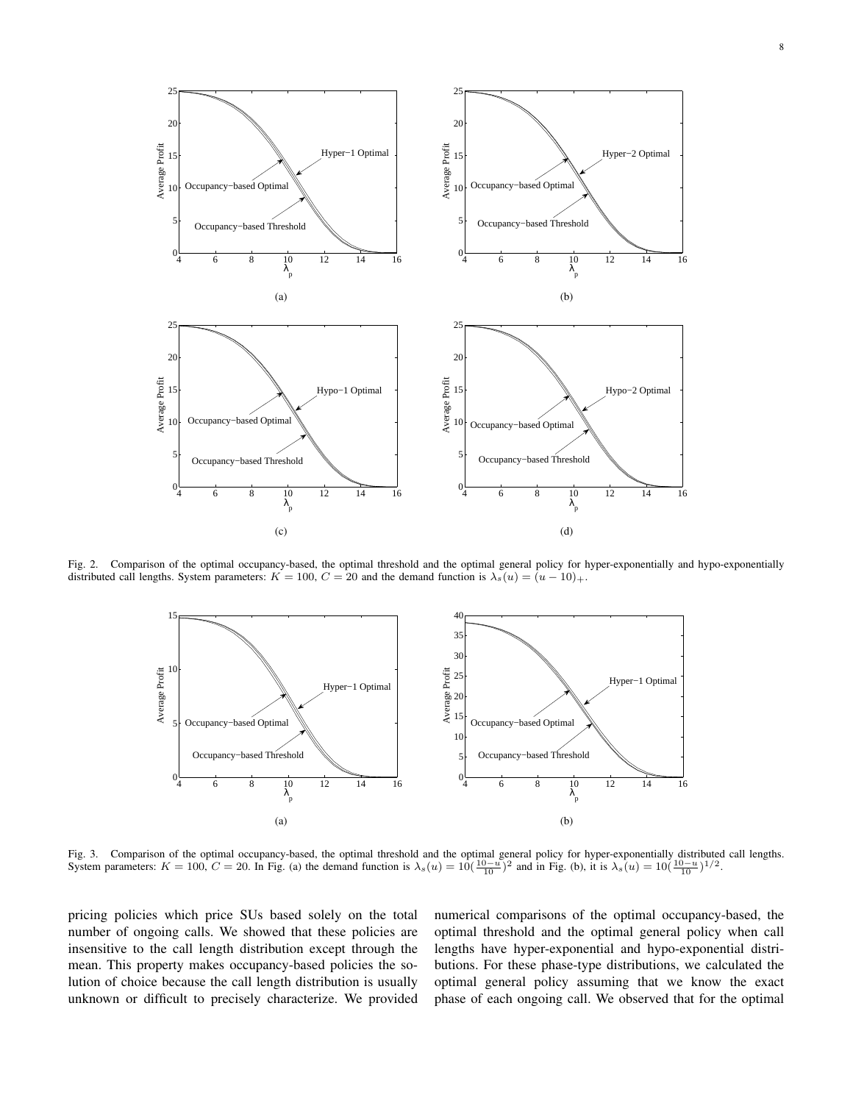

Fig. 2. Comparison of the optimal occupancy-based, the optimal threshold and the optimal general policy for hyper-exponentially and hypo-exponentially distributed call lengths. System parameters:  $K = 100$ ,  $C = 20$  and the demand function is  $\lambda_s(u) = (u - 10)_+$ .



Fig. 3. Comparison of the optimal occupancy-based, the optimal threshold and the optimal general policy for hyper-exponentially distributed call lengths.<br>System parameters:  $K = 100$ ,  $C = 20$ . In Fig. (a) the demand functi

pricing policies which price SUs based solely on the total number of ongoing calls. We showed that these policies are insensitive to the call length distribution except through the mean. This property makes occupancy-based policies the solution of choice because the call length distribution is usually unknown or difficult to precisely characterize. We provided numerical comparisons of the optimal occupancy-based, the optimal threshold and the optimal general policy when call lengths have hyper-exponential and hypo-exponential distributions. For these phase-type distributions, we calculated the optimal general policy assuming that we know the exact phase of each ongoing call. We observed that for the optimal